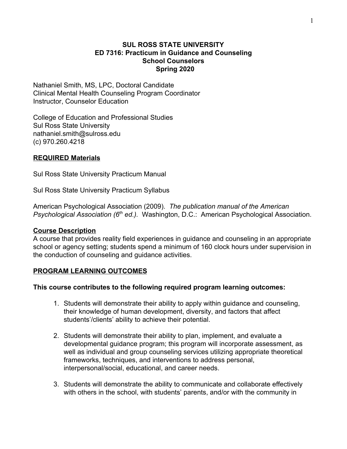#### **SUL ROSS STATE UNIVERSITY ED 7316: Practicum in Guidance and Counseling School Counselors Spring 2020**

Nathaniel Smith, MS, LPC, Doctoral Candidate Clinical Mental Health Counseling Program Coordinator Instructor, Counselor Education

College of Education and Professional Studies Sul Ross State University nathaniel.smith@sulross.edu (c) 970.260.4218

## **REQUIRED Materials**

Sul Ross State University Practicum Manual

Sul Ross State University Practicum Syllabus

American Psychological Association (2009). *The publication manual of the American* **Psychological Association (6<sup>th</sup> ed.).** Washington, D.C.: American Psychological Association.

#### **Course Description**

A course that provides reality field experiences in guidance and counseling in an appropriate school or agency setting; students spend a minimum of 160 clock hours under supervision in the conduction of counseling and guidance activities.

#### **PROGRAM LEARNING OUTCOMES**

#### **This course contributes to the following required program learning outcomes:**

- 1. Students will demonstrate their ability to apply within guidance and counseling, their knowledge of human development, diversity, and factors that affect students'/clients' ability to achieve their potential.
- 2. Students will demonstrate their ability to plan, implement, and evaluate a developmental guidance program; this program will incorporate assessment, as well as individual and group counseling services utilizing appropriate theoretical frameworks, techniques, and interventions to address personal, interpersonal/social, educational, and career needs.
- 3. Students will demonstrate the ability to communicate and collaborate effectively with others in the school, with students' parents, and/or with the community in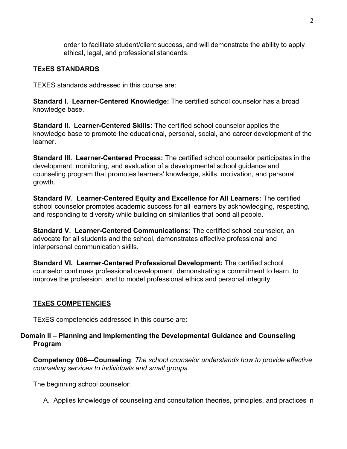order to facilitate student/client success, and will demonstrate the ability to apply ethical, legal, and professional standards.

# **TExES STANDARDS**

TEXES standards addressed in this course are:

**Standard I. Learner-Centered Knowledge:** The certified school counselor has a broad knowledge base.

**Standard II. Learner-Centered Skills:** The certified school counselor applies the knowledge base to promote the educational, personal, social, and career development of the learner.

**Standard III. Learner-Centered Process:** The certified school counselor participates in the development, monitoring, and evaluation of a developmental school guidance and counseling program that promotes learners' knowledge, skills, motivation, and personal growth.

**Standard IV. Learner-Centered Equity and Excellence for All Learners:** The certified school counselor promotes academic success for all learners by acknowledging, respecting, and responding to diversity while building on similarities that bond all people.

**Standard V. Learner-Centered Communications:** The certified school counselor, an advocate for all students and the school, demonstrates effective professional and interpersonal communication skills.

**Standard VI. Learner-Centered Professional Development:** The certified school counselor continues professional development, demonstrating a commitment to learn, to improve the profession, and to model professional ethics and personal integrity.

# **TExES COMPETENCIES**

TExES competencies addressed in this course are:

## **Domain II – Planning and Implementing the Developmental Guidance and Counseling Program**

**Competency 006—Counseling**: *The school counselor understands how to provide effective counseling services to individuals and small groups.*

The beginning school counselor:

A. Applies knowledge of counseling and consultation theories, principles, and practices in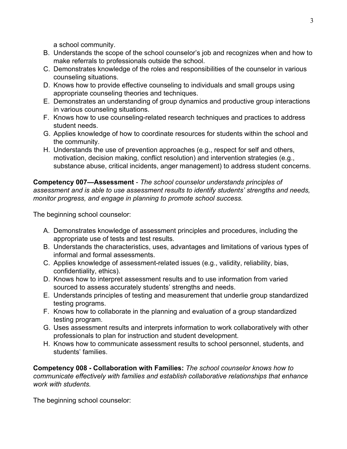a school community.

- B. Understands the scope of the school counselor's job and recognizes when and how to make referrals to professionals outside the school.
- C. Demonstrates knowledge of the roles and responsibilities of the counselor in various counseling situations.
- D. Knows how to provide effective counseling to individuals and small groups using appropriate counseling theories and techniques.
- E. Demonstrates an understanding of group dynamics and productive group interactions in various counseling situations.
- F. Knows how to use counseling-related research techniques and practices to address student needs.
- G. Applies knowledge of how to coordinate resources for students within the school and the community.
- H. Understands the use of prevention approaches (e.g., respect for self and others, motivation, decision making, conflict resolution) and intervention strategies (e.g., substance abuse, critical incidents, anger management) to address student concerns.

**Competency 007—Assessment** - *The school counselor understands principles of assessment and is able to use assessment results to identify students' strengths and needs, monitor progress, and engage in planning to promote school success.*

The beginning school counselor:

- A. Demonstrates knowledge of assessment principles and procedures, including the appropriate use of tests and test results.
- B. Understands the characteristics, uses, advantages and limitations of various types of informal and formal assessments.
- C. Applies knowledge of assessment-related issues (e.g., validity, reliability, bias, confidentiality, ethics).
- D. Knows how to interpret assessment results and to use information from varied sourced to assess accurately students' strengths and needs.
- E. Understands principles of testing and measurement that underlie group standardized testing programs.
- F. Knows how to collaborate in the planning and evaluation of a group standardized testing program.
- G. Uses assessment results and interprets information to work collaboratively with other professionals to plan for instruction and student development.
- H. Knows how to communicate assessment results to school personnel, students, and students' families.

**Competency 008 - Collaboration with Families:** *The school counselor knows how to communicate effectively with families and establish collaborative relationships that enhance work with students.*

The beginning school counselor: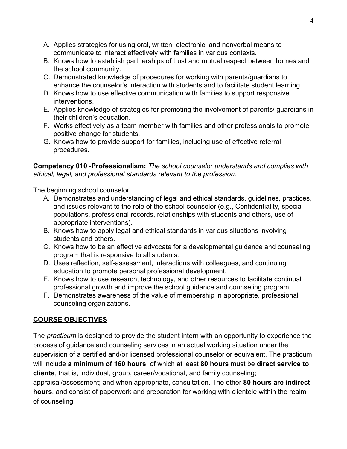- A. Applies strategies for using oral, written, electronic, and nonverbal means to communicate to interact effectively with families in various contexts.
- B. Knows how to establish partnerships of trust and mutual respect between homes and the school community.
- C. Demonstrated knowledge of procedures for working with parents/guardians to enhance the counselor's interaction with students and to facilitate student learning.
- D. Knows how to use effective communication with families to support responsive interventions.
- E. Applies knowledge of strategies for promoting the involvement of parents/ guardians in their children's education.
- F. Works effectively as a team member with families and other professionals to promote positive change for students.
- G. Knows how to provide support for families, including use of effective referral procedures.

**Competency 010 -Professionalism:** *The school counselor understands and complies with ethical, legal, and professional standards relevant to the profession.*

The beginning school counselor:

- A. Demonstrates and understanding of legal and ethical standards, guidelines, practices, and issues relevant to the role of the school counselor (e.g., Confidentiality, special populations, professional records, relationships with students and others, use of appropriate interventions).
- B. Knows how to apply legal and ethical standards in various situations involving students and others.
- C. Knows how to be an effective advocate for a developmental guidance and counseling program that is responsive to all students.
- D. Uses reflection, self-assessment, interactions with colleagues, and continuing education to promote personal professional development.
- E. Knows how to use research, technology, and other resources to facilitate continual professional growth and improve the school guidance and counseling program.
- F. Demonstrates awareness of the value of membership in appropriate, professional counseling organizations.

# **COURSE OBJECTIVES**

The *practicum* is designed to provide the student intern with an opportunity to experience the process of guidance and counseling services in an actual working situation under the supervision of a certified and/or licensed professional counselor or equivalent. The practicum will include **a minimum of 160 hours**, of which at least **80 hours** must be **direct service to clients**, that is, individual, group, career/vocational, and family counseling;

appraisal/assessment; and when appropriate, consultation. The other **80 hours are indirect hours**, and consist of paperwork and preparation for working with clientele within the realm of counseling.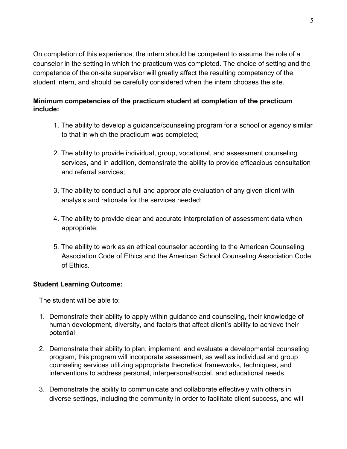On completion of this experience, the intern should be competent to assume the role of a counselor in the setting in which the practicum was completed. The choice of setting and the competence of the on-site supervisor will greatly affect the resulting competency of the student intern, and should be carefully considered when the intern chooses the site.

# **Minimum competencies of the practicum student at completion of the practicum include:**

- 1. The ability to develop a guidance/counseling program for a school or agency similar to that in which the practicum was completed;
- 2. The ability to provide individual, group, vocational, and assessment counseling services, and in addition, demonstrate the ability to provide efficacious consultation and referral services;
- 3. The ability to conduct a full and appropriate evaluation of any given client with analysis and rationale for the services needed;
- 4. The ability to provide clear and accurate interpretation of assessment data when appropriate;
- 5*.* The ability to work as an ethical counselor according to the American Counseling Association Code of Ethics and the American School Counseling Association Code of Ethics.

# **Student Learning Outcome:**

The student will be able to:

- 1. Demonstrate their ability to apply within guidance and counseling, their knowledge of human development, diversity, and factors that affect client's ability to achieve their potential
- 2. Demonstrate their ability to plan, implement, and evaluate a developmental counseling program, this program will incorporate assessment, as well as individual and group counseling services utilizing appropriate theoretical frameworks, techniques, and interventions to address personal, interpersonal/social, and educational needs.
- 3. Demonstrate the ability to communicate and collaborate effectively with others in diverse settings, including the community in order to facilitate client success, and will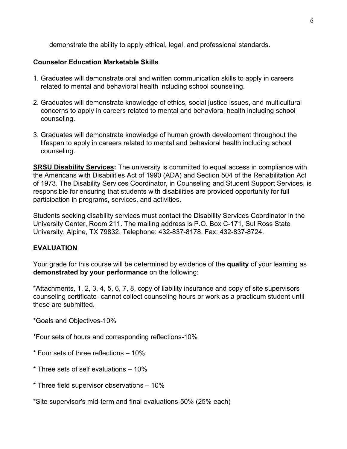demonstrate the ability to apply ethical, legal, and professional standards.

# **Counselor Education Marketable Skills**

- 1. Graduates will demonstrate oral and written communication skills to apply in careers related to mental and behavioral health including school counseling.
- 2. Graduates will demonstrate knowledge of ethics, social justice issues, and multicultural concerns to apply in careers related to mental and behavioral health including school counseling.
- 3. Graduates will demonstrate knowledge of human growth development throughout the lifespan to apply in careers related to mental and behavioral health including school counseling.

**SRSU Disability Services:** The university is committed to equal access in compliance with the Americans with Disabilities Act of 1990 (ADA) and Section 504 of the Rehabilitation Act of 1973. The Disability Services Coordinator, in Counseling and Student Support Services, is responsible for ensuring that students with disabilities are provided opportunity for full participation in programs, services, and activities.

Students seeking disability services must contact the Disability Services Coordinator in the University Center, Room 211. The mailing address is P.O. Box C-171, Sul Ross State University, Alpine, TX 79832. Telephone: 432-837-8178. Fax: 432-837-8724.

# **EVALUATION**

Your grade for this course will be determined by evidence of the **quality** of your learning as **demonstrated by your performance** on the following:

\*Attachments, 1, 2, 3, 4, 5, 6, 7, 8, copy of liability insurance and copy of site supervisors counseling certificate- cannot collect counseling hours or work as a practicum student until these are submitted.

\*Goals and Objectives-10%

\*Four sets of hours and corresponding reflections-10%

\* Four sets of three reflections – 10%

- \* Three sets of self evaluations 10%
- \* Three field supervisor observations 10%

\*Site supervisor's mid-term and final evaluations-50% (25% each)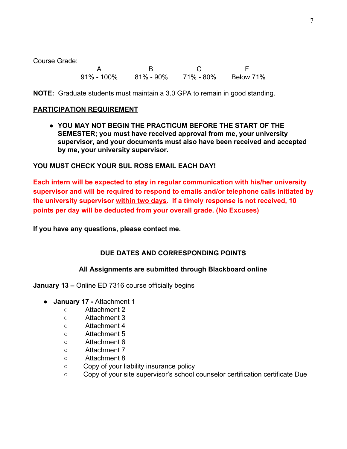Course Grade:

A B C F 91% - 100% 81% - 90% 71% - 80% Below 71%

**NOTE:** Graduate students must maintain a 3.0 GPA to remain in good standing.

#### **PARTICIPATION REQUIREMENT**

● **YOU MAY NOT BEGIN THE PRACTICUM BEFORE THE START OF THE SEMESTER; you must have received approval from me, your university supervisor, and your documents must also have been received and accepted by me, your university supervisor.**

## **YOU MUST CHECK YOUR SUL ROSS EMAIL EACH DAY!**

**Each intern will be expected to stay in regular communication with his/her university supervisor and will be required to respond to emails and/or telephone calls initiated by the university supervisor within two days. If a timely response is not received, 10 points per day will be deducted from your overall grade. (No Excuses)**

**If you have any questions, please contact me.**

# **DUE DATES AND CORRESPONDING POINTS**

#### **All Assignments are submitted through Blackboard online**

**January 13 –** Online ED 7316 course officially begins

- **January 17** Attachment 1
	- ○Attachment 2
	- Attachment 3
	- Attachment 4
	- Attachment 5
	- Attachment 6
	- Attachment 7
	- Attachment 8
	- Copy of your liability insurance policy
	- Copy of your site supervisor's school counselor certification certificate Due